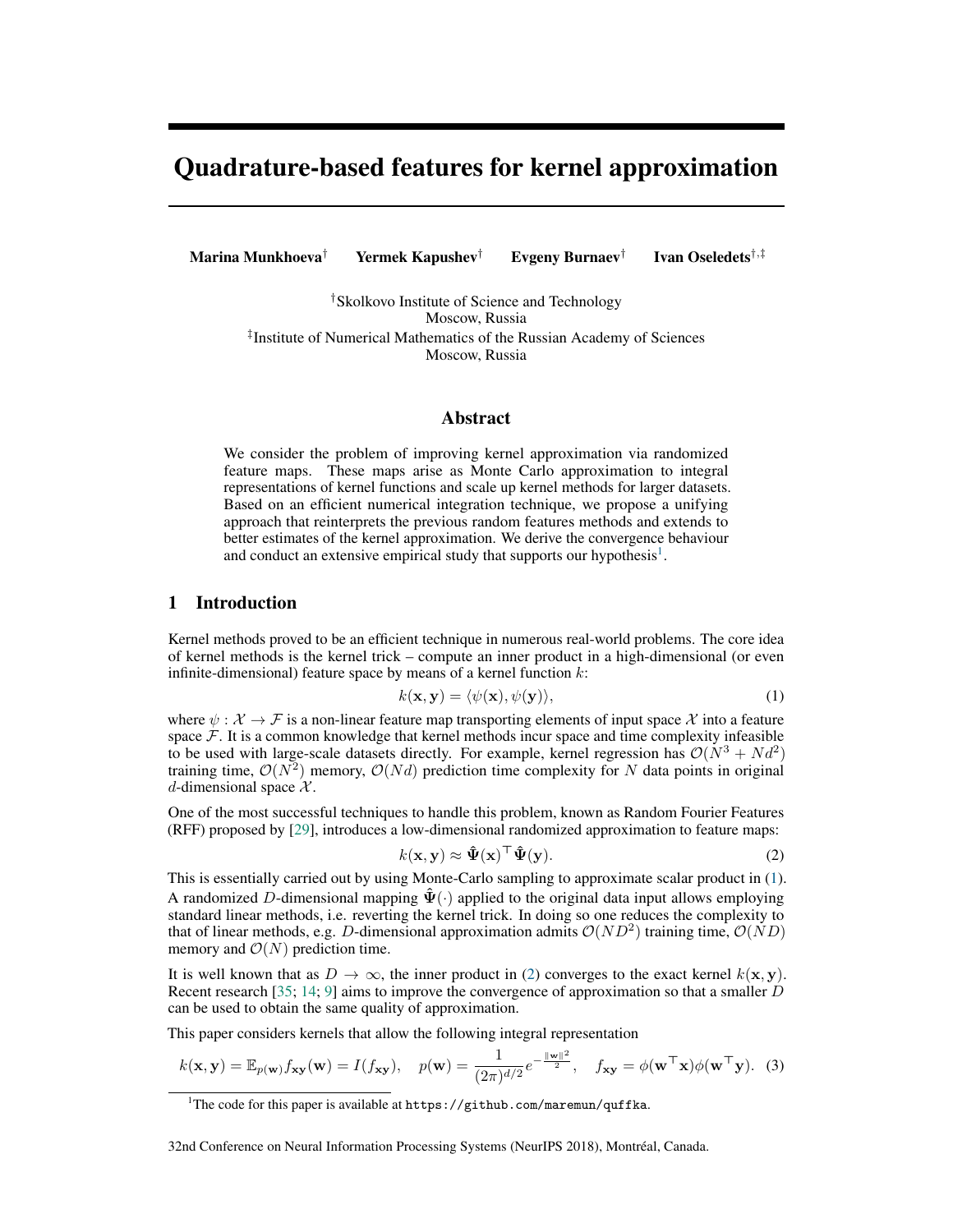# Quadrature-based features for kernel approximation

Marina Munkhoeva† Yermek Kapushev† Evgeny Burnaev† Ivan Oseledets†,‡

> †Skolkovo Institute of Science and Technology Moscow, Russia ‡ Institute of Numerical Mathematics of the Russian Academy of Sciences Moscow, Russia

## Abstract

We consider the problem of improving kernel approximation via randomized feature maps. These maps arise as Monte Carlo approximation to integral representations of kernel functions and scale up kernel methods for larger datasets. Based on an efficient numerical integration technique, we propose a unifying approach that reinterprets the previous random features methods and extends to better estimates of the kernel approximation. We derive the convergence behaviour and conduct an extensive empirical study that supports our hypothesis<sup>1</sup>.

# 1 Introduction

Kernel methods proved to be an efficient technique in numerous real-world problems. The core idea of kernel methods is the kernel trick – compute an inner product in a high-dimensional (or even infinite-dimensional) feature space by means of a kernel function  $k$ :

$$
k(\mathbf{x}, \mathbf{y}) = \langle \psi(\mathbf{x}), \psi(\mathbf{y}) \rangle,
$$
 (1)

where  $\psi : \mathcal{X} \to \mathcal{F}$  is a non-linear feature map transporting elements of input space X into a feature space  $F$ . It is a common knowledge that kernel methods incur space and time complexity infeasible to be used with large-scale datasets directly. For example, kernel regression has  $\mathcal{O}(N^3 + Nd^2)$ training time,  $\mathcal{O}(N^2)$  memory,  $\mathcal{O}(Nd)$  prediction time complexity for N data points in original d-dimensional space  $X$ .

One of the most successful techniques to handle this problem, known as Random Fourier Features (RFF) proposed by [29], introduces a low-dimensional randomized approximation to feature maps:

$$
k(\mathbf{x}, \mathbf{y}) \approx \hat{\Psi}(\mathbf{x})^{\top} \hat{\Psi}(\mathbf{y}).
$$
 (2)

This is essentially carried out by using Monte-Carlo sampling to approximate scalar product in (1). A randomized D-dimensional mapping  $\hat{\Psi}(\cdot)$  applied to the original data input allows employing standard linear methods, i.e. reverting the kernel trick. In doing so one reduces the complexity to that of linear methods, e.g. D-dimensional approximation admits  $\mathcal{O}(ND^2)$  training time,  $\mathcal{O}(ND)$ memory and  $\mathcal{O}(N)$  prediction time.

It is well known that as  $D \to \infty$ , the inner product in (2) converges to the exact kernel  $k(x, y)$ . Recent research [35; 14; 9] aims to improve the convergence of approximation so that a smaller  $\dot{D}$ can be used to obtain the same quality of approximation.

This paper considers kernels that allow the following integral representation

$$
k(\mathbf{x}, \mathbf{y}) = \mathbb{E}_{p(\mathbf{w})} f_{\mathbf{xy}}(\mathbf{w}) = I(f_{\mathbf{xy}}), \quad p(\mathbf{w}) = \frac{1}{(2\pi)^{d/2}} e^{-\frac{\|\mathbf{w}\|^2}{2}}, \quad f_{\mathbf{xy}} = \phi(\mathbf{w}^\top \mathbf{x}) \phi(\mathbf{w}^\top \mathbf{y}). \tag{3}
$$

32nd Conference on Neural Information Processing Systems (NeurIPS 2018), Montréal, Canada.

<sup>&</sup>lt;sup>1</sup>The code for this paper is available at https://github.com/maremun/quffka.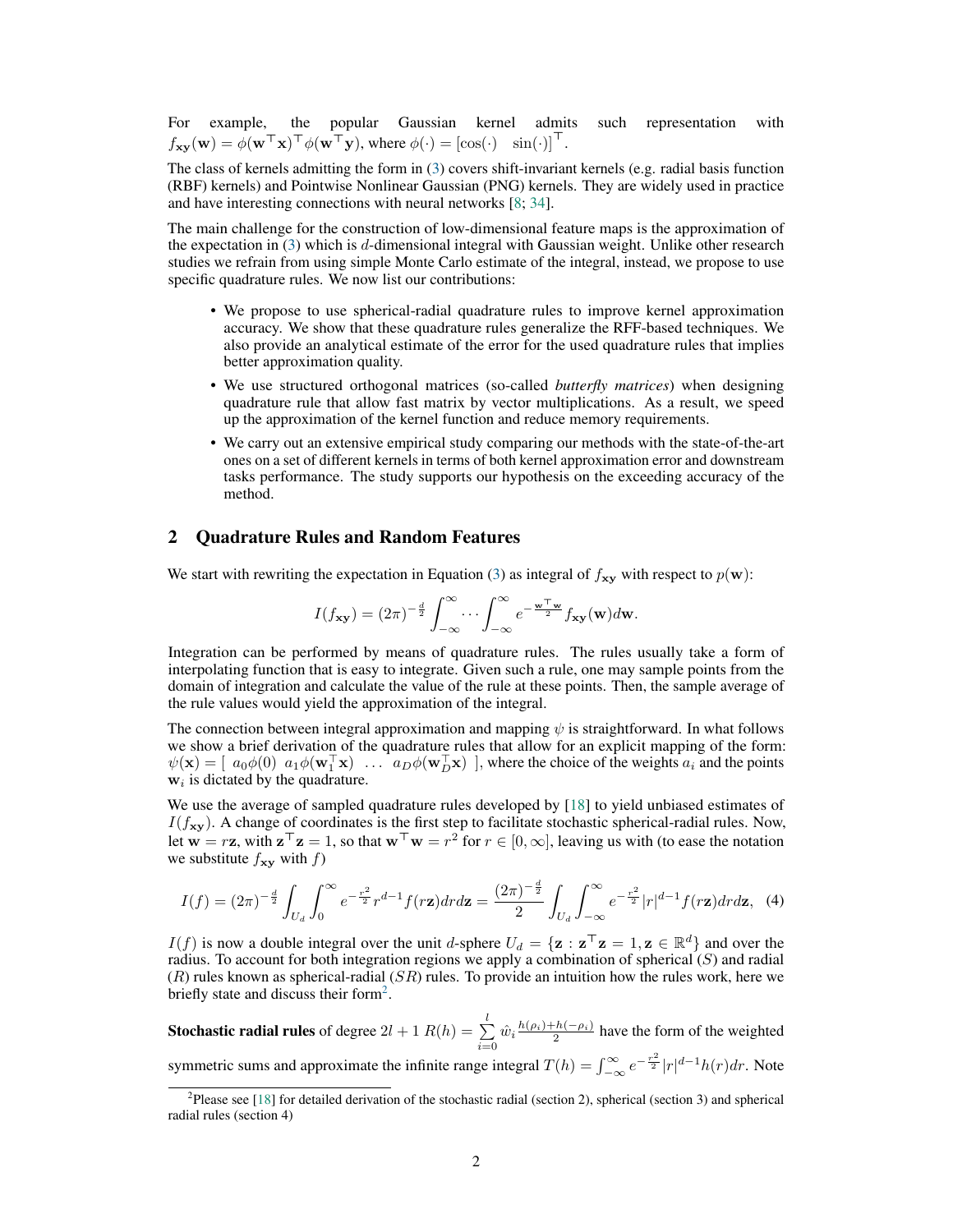For example, the popular Gaussian kernel admits such representation with  $f_{\mathbf{xy}}(\mathbf{w}) = \phi(\mathbf{w}^{\top}\mathbf{x})^{\top} \phi(\mathbf{w}^{\top}\mathbf{y}), \text{ where } \phi(\cdot) = [\cos(\cdot) \quad \sin(\cdot)]^{\top}.$ 

The class of kernels admitting the form in (3) covers shift-invariant kernels (e.g. radial basis function (RBF) kernels) and Pointwise Nonlinear Gaussian (PNG) kernels. They are widely used in practice and have interesting connections with neural networks [8; 34].

The main challenge for the construction of low-dimensional feature maps is the approximation of the expectation in  $(3)$  which is d-dimensional integral with Gaussian weight. Unlike other research studies we refrain from using simple Monte Carlo estimate of the integral, instead, we propose to use specific quadrature rules. We now list our contributions:

- We propose to use spherical-radial quadrature rules to improve kernel approximation accuracy. We show that these quadrature rules generalize the RFF-based techniques. We also provide an analytical estimate of the error for the used quadrature rules that implies better approximation quality.
- We use structured orthogonal matrices (so-called *butterfly matrices*) when designing quadrature rule that allow fast matrix by vector multiplications. As a result, we speed up the approximation of the kernel function and reduce memory requirements.
- We carry out an extensive empirical study comparing our methods with the state-of-the-art ones on a set of different kernels in terms of both kernel approximation error and downstream tasks performance. The study supports our hypothesis on the exceeding accuracy of the method.

# 2 Quadrature Rules and Random Features

We start with rewriting the expectation in Equation (3) as integral of  $f_{xy}$  with respect to  $p(w)$ :

$$
I(f_{\mathbf{xy}}) = (2\pi)^{-\frac{d}{2}} \int_{-\infty}^{\infty} \cdots \int_{-\infty}^{\infty} e^{-\frac{\mathbf{w}^\top \mathbf{w}}{2}} f_{\mathbf{xy}}(\mathbf{w}) d\mathbf{w}.
$$

Integration can be performed by means of quadrature rules. The rules usually take a form of interpolating function that is easy to integrate. Given such a rule, one may sample points from the domain of integration and calculate the value of the rule at these points. Then, the sample average of the rule values would yield the approximation of the integral.

The connection between integral approximation and mapping  $\psi$  is straightforward. In what follows we show a brief derivation of the quadrature rules that allow for an explicit mapping of the form:  $\psi(\mathbf{x}) = \begin{bmatrix} a_0\phi(0) & a_1\phi(\mathbf{w}_1^T\mathbf{x}) & \dots & a_D\phi(\mathbf{w}_D^T\mathbf{x}) \end{bmatrix}$ , where the choice of the weights  $a_i$  and the points  $w_i$  is dictated by the quadrature.

We use the average of sampled quadrature rules developed by [18] to yield unbiased estimates of  $I(f_{xy})$ . A change of coordinates is the first step to facilitate stochastic spherical-radial rules. Now, let  $\mathbf{w} = r\mathbf{z}$ , with  $\mathbf{z}^\top \mathbf{z} = 1$ , so that  $\mathbf{w}^\top \mathbf{w} = r^2$  for  $r \in [0, \infty]$ , leaving us with (to ease the notation we substitute  $f_{xy}$  with  $f$ )

$$
I(f) = (2\pi)^{-\frac{d}{2}} \int_{U_d} \int_0^{\infty} e^{-\frac{r^2}{2}} r^{d-1} f(r\mathbf{z}) dr d\mathbf{z} = \frac{(2\pi)^{-\frac{d}{2}}}{2} \int_{U_d} \int_{-\infty}^{\infty} e^{-\frac{r^2}{2}} |r|^{d-1} f(r\mathbf{z}) dr d\mathbf{z}, \tag{4}
$$

 $I(f)$  is now a double integral over the unit d-sphere  $U_d = {\mathbf{z} : \mathbf{z}^\top \mathbf{z} = 1, \mathbf{z} \in \mathbb{R}^d}$  and over the radius. To account for both integration regions we apply a combination of spherical  $(S)$  and radial  $(R)$  rules known as spherical-radial  $(SR)$  rules. To provide an intuition how the rules work, here we briefly state and discuss their form<sup>2</sup>.

**Stochastic radial rules** of degree  $2l + 1$   $R(h) = \sum^{l}$  $\sum_{i=0}^{8} \hat{w}_i \frac{h(\rho_i) + h(-\rho_i)}{2}$  have the form of the weighted symmetric sums and approximate the infinite range integral  $T(h) = \int_{-\infty}^{\infty} e^{-\frac{r^2}{2}} |r|^{d-1} h(r) dr$ . Note

<sup>&</sup>lt;sup>2</sup>Please see [18] for detailed derivation of the stochastic radial (section 2), spherical (section 3) and spherical radial rules (section 4)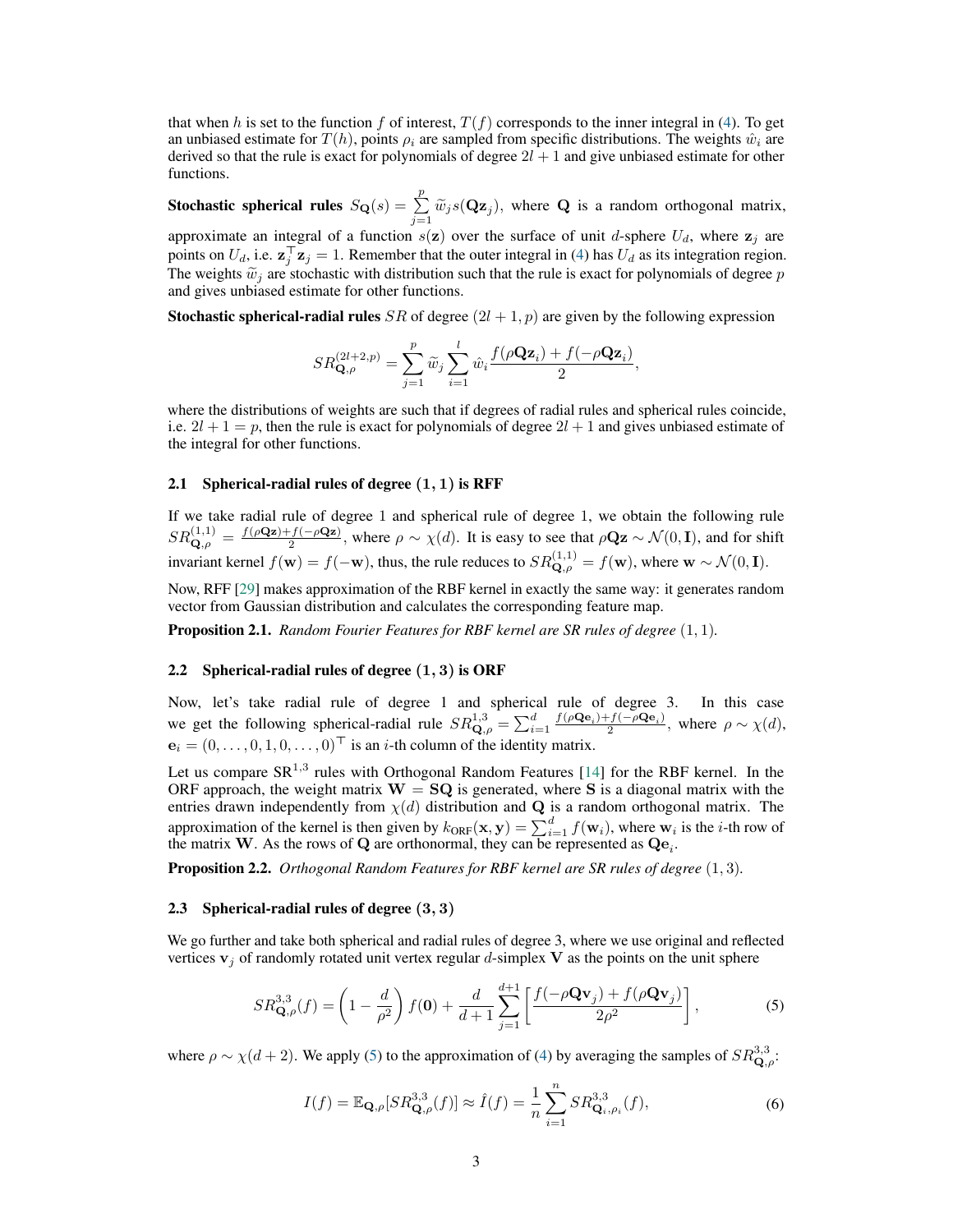that when h is set to the function f of interest,  $T(f)$  corresponds to the inner integral in (4). To get an unbiased estimate for  $T(h)$ , points  $\rho_i$  are sampled from specific distributions. The weights  $\hat{w}_i$  are derived so that the rule is exact for polynomials of degree  $2l + 1$  and give unbiased estimate for other functions.

**Stochastic spherical rules**  $S_{\mathbf{Q}}(s) = \sum_{j=1}^{p} \widetilde{w}_{j} s(\mathbf{Qz}_{j}),$  where **Q** is a random orthogonal matrix,

approximate an integral of a function  $s(z)$  over the surface of unit d-sphere  $U<sub>d</sub>$ , where  $z<sub>j</sub>$  are points on  $U_d$ , i.e.  $\mathbf{z}_j^{\top} \mathbf{z}_j = 1$ . Remember that the outer integral in (4) has  $U_d$  as its integration region. The weights  $\widetilde{w}_j$  are stochastic with distribution such that the rule is exact for polynomials of degree p and gives unbiased estimate for other functions.

**Stochastic spherical-radial rules** SR of degree  $(2l + 1, p)$  are given by the following expression

$$
SR_{\mathbf{Q},\rho}^{(2l+2,p)}=\sum_{j=1}^p\widetilde{w}_j\sum_{i=1}^l\hat{w}_i\frac{f(\rho\mathbf{Q}\mathbf{z}_i)+f(-\rho\mathbf{Q}\mathbf{z}_i)}{2},
$$

where the distributions of weights are such that if degrees of radial rules and spherical rules coincide, i.e.  $2l + 1 = p$ , then the rule is exact for polynomials of degree  $2l + 1$  and gives unbiased estimate of the integral for other functions.

#### 2.1 Spherical-radial rules of degree  $(1, 1)$  is RFF

If we take radial rule of degree 1 and spherical rule of degree 1, we obtain the following rule  $SR_{\mathbf{Q},\rho}^{(1,1)} = \frac{f(\rho \mathbf{Qz}) + f(-\rho \mathbf{Qz})}{2}$ , where  $\rho \sim \chi(d)$ . It is easy to see that  $\rho \mathbf{Qz} \sim \mathcal{N}(0,\mathbf{I})$ , and for shift invariant kernel  $f(\mathbf{w}) = f(-\mathbf{w})$ , thus, the rule reduces to  $SR_{\mathbf{Q},\rho}^{(1,1)} = f(\mathbf{w})$ , where  $\mathbf{w} \sim \mathcal{N}(0,\mathbf{I})$ .

Now, RFF [29] makes approximation of the RBF kernel in exactly the same way: it generates random vector from Gaussian distribution and calculates the corresponding feature map.

Proposition 2.1. *Random Fourier Features for RBF kernel are SR rules of degree* (1, 1)*.*

#### 2.2 Spherical-radial rules of degree  $(1, 3)$  is ORF

Now, let's take radial rule of degree 1 and spherical rule of degree 3. In this case we get the following spherical-radial rule  $SR_{\mathbf{Q},\rho}^{1,3} = \sum_{i=1}^{d} \frac{f(\rho \mathbf{Q} \mathbf{e}_i) + f(-\rho \mathbf{Q} \mathbf{e}_i)}{2}$  $\frac{\partial^2 J(-\rho \mathbf{Q} \mathbf{e}_i)}{2}$ , where  $\rho \sim \chi(d)$ ,  $e_i = (0, \ldots, 0, 1, 0, \ldots, 0)^{\top}$  is an *i*-th column of the identity matrix.

Let us compare  $SR^{1,3}$  rules with Orthogonal Random Features [14] for the RBF kernel. In the ORF approach, the weight matrix  $W = SQ$  is generated, where S is a diagonal matrix with the entries drawn independently from  $\chi(d)$  distribution and Q is a random orthogonal matrix. The approximation of the kernel is then given by  $k_{ORF}(\mathbf{x}, \mathbf{y}) = \sum_{i=1}^{d} f(\mathbf{w}_i)$ , where  $\mathbf{w}_i$  is the *i*-th row of the matrix W. As the rows of Q are orthonormal, they can be represented as  $\mathbf{Q}\mathbf{e}_i$ .

Proposition 2.2. *Orthogonal Random Features for RBF kernel are SR rules of degree* (1, 3)*.*

## 2.3 Spherical-radial rules of degree (3, 3)

We go further and take both spherical and radial rules of degree 3, where we use original and reflected vertices  $v_j$  of randomly rotated unit vertex regular d-simplex V as the points on the unit sphere

$$
SR_{\mathbf{Q},\rho}^{3,3}(f) = \left(1 - \frac{d}{\rho^2}\right) f(\mathbf{0}) + \frac{d}{d+1} \sum_{j=1}^{d+1} \left[\frac{f(-\rho \mathbf{Q} \mathbf{v}_j) + f(\rho \mathbf{Q} \mathbf{v}_j)}{2\rho^2}\right],
$$
 (5)

where  $\rho \sim \chi(d+2)$ . We apply (5) to the approximation of (4) by averaging the samples of  $SR_{\mathbf{Q},\rho}^{3,3}$ :

$$
I(f) = \mathbb{E}_{\mathbf{Q},\rho}[SR_{\mathbf{Q},\rho}^{3,3}(f)] \approx \hat{I}(f) = \frac{1}{n} \sum_{i=1}^{n} SR_{\mathbf{Q}_i,\rho_i}^{3,3}(f),
$$
\n(6)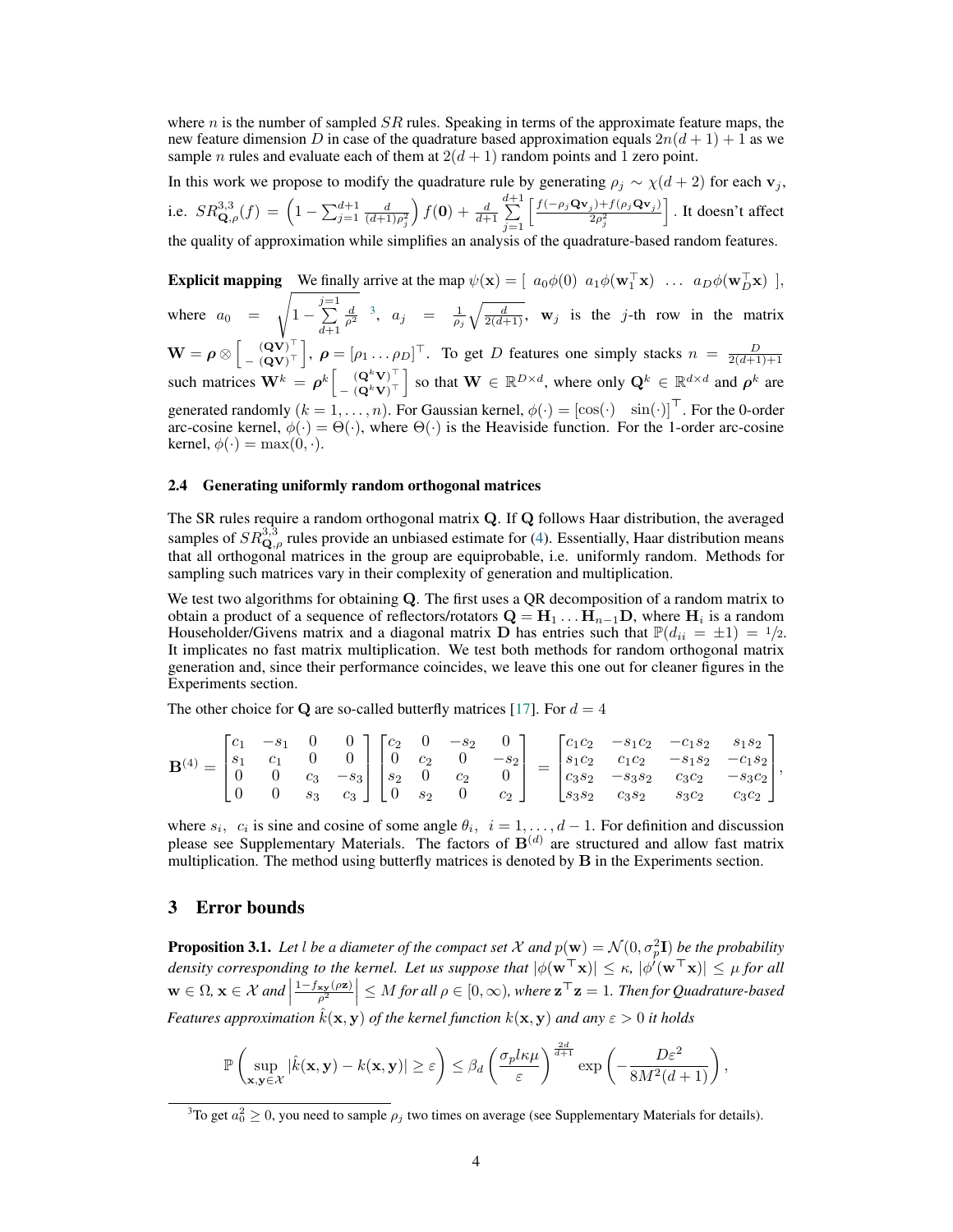where n is the number of sampled  $SR$  rules. Speaking in terms of the approximate feature maps, the new feature dimension D in case of the quadrature based approximation equals  $2n(d+1) + 1$  as we sample *n* rules and evaluate each of them at  $2(d+1)$  random points and 1 zero point.

In this work we propose to modify the quadrature rule by generating  $\rho_j \sim \chi(d+2)$  for each  $\mathbf{v}_j$ , i.e.  $SR_{\mathbf{Q},\rho}^{3,3}(f) = \left(1 - \sum_{j=1}^{d+1} \frac{d}{(d+1)\rho_j^2}\right)$  $\int f(\mathbf{0}) + \frac{d}{d+1}$  $\sum_{ }^{d+1}$  $j=1$  $\int \frac{f(-\rho_j \mathbf{Q} \mathbf{v}_j) + f(\rho_j \mathbf{Q} \mathbf{v}_j)}{g(\rho_j \mathbf{Q} \mathbf{v}_j)}$  $2\rho_j^2$ I. It doesn't affect

the quality of approximation while simplifies an analysis of the quadrature-based random features.

**Explicit mapping** We finally arrive at the map  $\psi(\mathbf{x}) = \begin{bmatrix} a_0\phi(0) & a_1\phi(\mathbf{w}_1^{\top}\mathbf{x}) & \dots & a_D\phi(\mathbf{w}_D^{\top}\mathbf{x}) \end{bmatrix}$ where  $a_0 =$ s  $1-\sum_{i=1}^{j=1}$  $d+1$  $\frac{d}{\rho^2}$  <sup>3</sup>,  $a_j = \frac{1}{\rho_j} \sqrt{\frac{d}{2(d+1)}}$ , **w**<sub>j</sub> is the j-th row in the matrix  $\mathbf{W} = \boldsymbol{\rho} \otimes \left[ \begin{smallmatrix} (\mathbf{Q}\mathbf{V})^{\top} \ -\ (\mathbf{Q}\mathbf{V})^{\top} \end{smallmatrix} \right]$  $\left[\begin{array}{c} (\mathbf{Q}\mathbf{V})^{\top} \\ -(\mathbf{Q}\mathbf{V})^{\top} \end{array}\right], \ \mathbf{\rho} = [\rho_1 \dots \rho_D]^{\top}.$  To get D features one simply stacks  $n = \frac{D}{2(d+1)+1}$ such matrices  $\mathbf{W}^k = \boldsymbol{\rho}^k \begin{bmatrix} (\mathbf{Q}^k \mathbf{V})^{\top} \\ (\mathbf{Q}^k \mathbf{V})^{\top} \end{bmatrix}$  $\left[\mathbf{Q}^k \mathbf{V}\right]^\top = \left(\mathbf{Q}^k \mathbf{V}\right)^\top$  so that  $\mathbf{W} \in \mathbb{R}^{D \times d}$ , where only  $\mathbf{Q}^k \in \mathbb{R}^{d \times d}$  and  $\rho^k$  are generated randomly  $(k = 1, ..., n)$ . For Gaussian kernel,  $\phi(\cdot) = [\cos(\cdot) \sin(\cdot)]^{\top}$ . For the 0-order arc-cosine kernel,  $\phi(\cdot) = \Theta(\cdot)$ , where  $\Theta(\cdot)$  is the Heaviside function. For the 1-order arc-cosine kernel,  $\phi(\cdot) = \max(0, \cdot).$ 

## 2.4 Generating uniformly random orthogonal matrices

The SR rules require a random orthogonal matrix Q. If Q follows Haar distribution, the averaged samples of  $SR_{\mathbf{Q},\rho}^{3,3}$  rules provide an unbiased estimate for (4). Essentially, Haar distribution means that all orthogonal matrices in the group are equiprobable, i.e. uniformly random. Methods for sampling such matrices vary in their complexity of generation and multiplication.

We test two algorithms for obtaining Q. The first uses a QR decomposition of a random matrix to obtain a product of a sequence of reflectors/rotators  $\mathbf{Q} = \mathbf{H}_1 \dots \mathbf{H}_{n-1} \mathbf{D}$ , where  $\mathbf{H}_i$  is a random Householder/Givens matrix and a diagonal matrix **D** has entries such that  $\mathbb{P}(d_{ii} = \pm 1) = \frac{1}{2}$ . It implicates no fast matrix multiplication. We test both methods for random orthogonal matrix generation and, since their performance coincides, we leave this one out for cleaner figures in the Experiments section.

The other choice for Q are so-called butterfly matrices [17]. For  $d = 4$ 

$$
\mathbf{B}^{(4)} = \begin{bmatrix} c_1 & -s_1 & 0 & 0 \\ s_1 & c_1 & 0 & 0 \\ 0 & 0 & c_3 & -s_3 \\ 0 & 0 & s_3 & c_3 \end{bmatrix} \begin{bmatrix} c_2 & 0 & -s_2 & 0 \\ 0 & c_2 & 0 & -s_2 \\ s_2 & 0 & c_2 & 0 \\ 0 & s_2 & 0 & c_2 \end{bmatrix} = \begin{bmatrix} c_1c_2 & -s_1c_2 & -c_1s_2 & s_1s_2 \\ s_1c_2 & c_1c_2 & -s_1s_2 & -c_1s_2 \\ c_3s_2 & -s_3s_2 & c_3c_2 & -s_3c_2 \\ s_3s_2 & c_3s_2 & s_3c_2 & c_3c_2 \end{bmatrix},
$$

where  $s_i$ ,  $c_i$  is sine and cosine of some angle  $\theta_i$ ,  $i = 1, ..., d - 1$ . For definition and discussion please see Supplementary Materials. The factors of  $\mathbf{B}^{(d)}$  are structured and allow fast matrix multiplication. The method using butterfly matrices is denoted by B in the Experiments section.

# 3 Error bounds

**Proposition 3.1.** Let l be a diameter of the compact set X and  $p(\mathbf{w}) = \mathcal{N}(0, \sigma_p^2 \mathbf{I})$  be the probability *density corresponding to the kernel. Let us suppose that*  $|\phi(\mathbf{w}^T\mathbf{x})| \leq \kappa$ ,  $|\phi'(\mathbf{w}^T\mathbf{x})| \leq \mu$  for all  $\mathbf{w} \in \Omega, \mathbf{x} \in \mathcal{X}$  and  $\left|\frac{1-f_\mathbf{xy}(\rho\mathbf{z})}{\rho^2}\right| \leq M$  for all  $\rho \in [0,\infty)$ , where  $\mathbf{z}^\top\mathbf{z} = 1$ . Then for Quadrature-based *Features approximation*  $\hat{k}(\mathbf{x}, \mathbf{y})$  *of the kernel function*  $k(\mathbf{x}, \mathbf{y})$  *and any*  $\varepsilon > 0$  *it holds* 

$$
\mathbb{P}\left(\sup_{\mathbf{x},\mathbf{y}\in\mathcal{X}}|\hat{k}(\mathbf{x},\mathbf{y})-k(\mathbf{x},\mathbf{y})|\geq \varepsilon\right)\leq \beta_d\left(\frac{\sigma_p l\kappa\mu}{\varepsilon}\right)^{\frac{2d}{d+1}}\exp\left(-\frac{D\varepsilon^2}{8M^2(d+1)}\right),
$$

<sup>&</sup>lt;sup>3</sup>To get  $a_0^2 \ge 0$ , you need to sample  $\rho_j$  two times on average (see Supplementary Materials for details).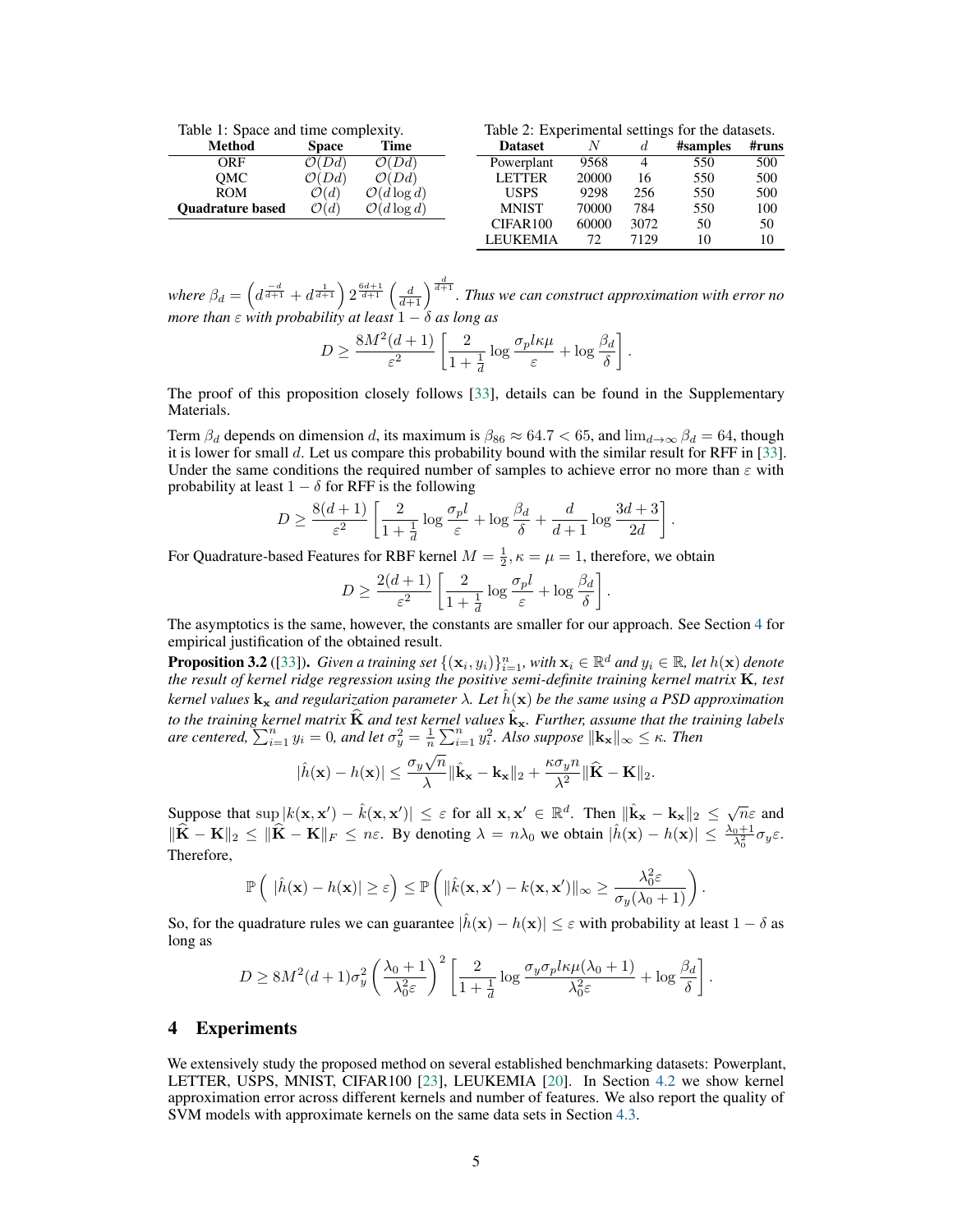| Method                  | <b>Space</b>      | <b>Time</b>             |  |
|-------------------------|-------------------|-------------------------|--|
| ORF                     | $\mathcal{O}(Dd)$ | $\mathcal{O}(Dd)$       |  |
| OMC                     | $\mathcal{O}(Dd)$ | $\mathcal{O}(Dd)$       |  |
| <b>ROM</b>              | $\mathcal{O}(d)$  | $\mathcal{O}(d \log d)$ |  |
| <b>Ouadrature based</b> | $\mathcal{O}(d)$  | $\mathcal{O}(d \log d)$ |  |
|                         |                   |                         |  |

| Table 2: Experimental settings for the datasets. |       |      |          |       |  |
|--------------------------------------------------|-------|------|----------|-------|--|
| <b>Dataset</b>                                   |       | d.   | #samples | #runs |  |
| Powerplant                                       | 9568  | 4    | 550      | 500   |  |
| <b>LETTER</b>                                    | 20000 | 16   | 550      | 500   |  |
| <b>USPS</b>                                      | 9298  | 256  | 550      | 500   |  |
| <b>MNIST</b>                                     | 70000 | 784  | 550      | 100   |  |
| CIFAR100                                         | 60000 | 3072 | 50       | 50    |  |

LEUKEMIA 72 7129 10 10

.

where  $\beta_d = \left(d^{\frac{-d}{d+1}} + d^{\frac{1}{d+1}}\right) 2^{\frac{6d+1}{d+1}} \left(\frac{d}{d+1}\right)^{\frac{d}{d+1}}$ . Thus we can construct approximation with error no *more than*  $\varepsilon$  *with probability at least*  $1 - \delta$  *as long as* 

$$
D \ge \frac{8M^2(d+1)}{\varepsilon^2} \left[ \frac{2}{1+\frac{1}{d}} \log \frac{\sigma_p l \kappa \mu}{\varepsilon} + \log \frac{\beta_d}{\delta} \right].
$$

The proof of this proposition closely follows [33], details can be found in the Supplementary Materials.

Term  $\beta_d$  depends on dimension d, its maximum is  $\beta_{86} \approx 64.7 < 65$ , and  $\lim_{d\to\infty} \beta_d = 64$ , though it is lower for small  $d$ . Let us compare this probability bound with the similar result for RFF in [33]. Under the same conditions the required number of samples to achieve error no more than  $\varepsilon$  with probability at least  $1 - \delta$  for RFF is the following

$$
D \ge \frac{8(d+1)}{\varepsilon^2} \left[ \frac{2}{1+\frac{1}{d}} \log \frac{\sigma_p l}{\varepsilon} + \log \frac{\beta_d}{\delta} + \frac{d}{d+1} \log \frac{3d+3}{2d} \right]
$$

For Quadrature-based Features for RBF kernel  $M = \frac{1}{2}, \kappa = \mu = 1$ , therefore, we obtain

$$
D \ge \frac{2(d+1)}{\varepsilon^2} \left[ \frac{2}{1 + \frac{1}{d}} \log \frac{\sigma_p l}{\varepsilon} + \log \frac{\beta_d}{\delta} \right].
$$

The asymptotics is the same, however, the constants are smaller for our approach. See Section 4 for empirical justification of the obtained result.

**Proposition 3.2** ([33]). Given a training set  $\{(\mathbf{x}_i, y_i)\}_{i=1}^n$ , with  $\mathbf{x}_i \in \mathbb{R}^d$  and  $y_i \in \mathbb{R}$ , let  $h(\mathbf{x})$  denote the result of kernel ridge regression using the positive semi-definite training kernel ma *kernel values*  $\mathbf{k}_x$  *and regularization parameter*  $\lambda$ *. Let*  $\hat{h}(\mathbf{x})$  *be the same using a PSD approximation to the training kernel matrix*  $\widehat{K}$  *and test kernel values*  $\hat{k}_x$ *. Further, assume that the training labels are centered,*  $\sum_{i=1}^{n} y_i = 0$ , and let  $\sigma_y^2 = \frac{1}{n} \sum_{i=1}^{n} y_i^2$ . Also suppose  $\|\mathbf{k_x}\|_{\infty} \leq \kappa$ . Then

$$
|\hat{h}(\mathbf{x}) - h(\mathbf{x})| \leq \frac{\sigma_y \sqrt{n}}{\lambda} ||\hat{\mathbf{k}}_{\mathbf{x}} - \mathbf{k}_{\mathbf{x}}||_2 + \frac{\kappa \sigma_y n}{\lambda^2} ||\hat{\mathbf{K}} - \mathbf{K}||_2.
$$

Suppose that  $\sup |k(x, x') - \hat{k}(x, x')| \leq \varepsilon$  for all  $x, x' \in \mathbb{R}^d$ . Then  $\|\hat{k}_x - k_x\|_2 \leq \sqrt{n}\varepsilon$  and  $\|\hat{\mathbf{K}} - \mathbf{K}\|_2 \leq \|\hat{\mathbf{K}} - \mathbf{K}\|_F \leq n\varepsilon$ . By denoting  $\lambda = n\lambda_0$  we obtain  $|\hat{h}(\mathbf{x}) - h(\mathbf{x})| \leq \frac{\lambda_0 + 1}{\lambda_0^2} \sigma_y \varepsilon$ . Therefore,

$$
\mathbb{P}\left(\|\hat{h}(\mathbf{x}) - h(\mathbf{x})\| \ge \varepsilon\right) \le \mathbb{P}\left(\|\hat{k}(\mathbf{x}, \mathbf{x}') - k(\mathbf{x}, \mathbf{x}')\|_{\infty} \ge \frac{\lambda_0^2 \varepsilon}{\sigma_y(\lambda_0 + 1)}\right).
$$

So, for the quadrature rules we can guarantee  $|\hat{h}(\mathbf{x}) - h(\mathbf{x})| \leq \varepsilon$  with probability at least  $1 - \delta$  as long as

$$
D \geq 8M^2(d+1)\sigma_y^2 \left(\frac{\lambda_0+1}{\lambda_0^2 \varepsilon}\right)^2 \left[\frac{2}{1+\frac{1}{d}}\log\frac{\sigma_y \sigma_p l \kappa \mu(\lambda_0+1)}{\lambda_0^2 \varepsilon} + \log\frac{\beta_d}{\delta}\right].
$$

# 4 Experiments

We extensively study the proposed method on several established benchmarking datasets: Powerplant, LETTER, USPS, MNIST, CIFAR100 [23], LEUKEMIA [20]. In Section 4.2 we show kernel approximation error across different kernels and number of features. We also report the quality of SVM models with approximate kernels on the same data sets in Section 4.3.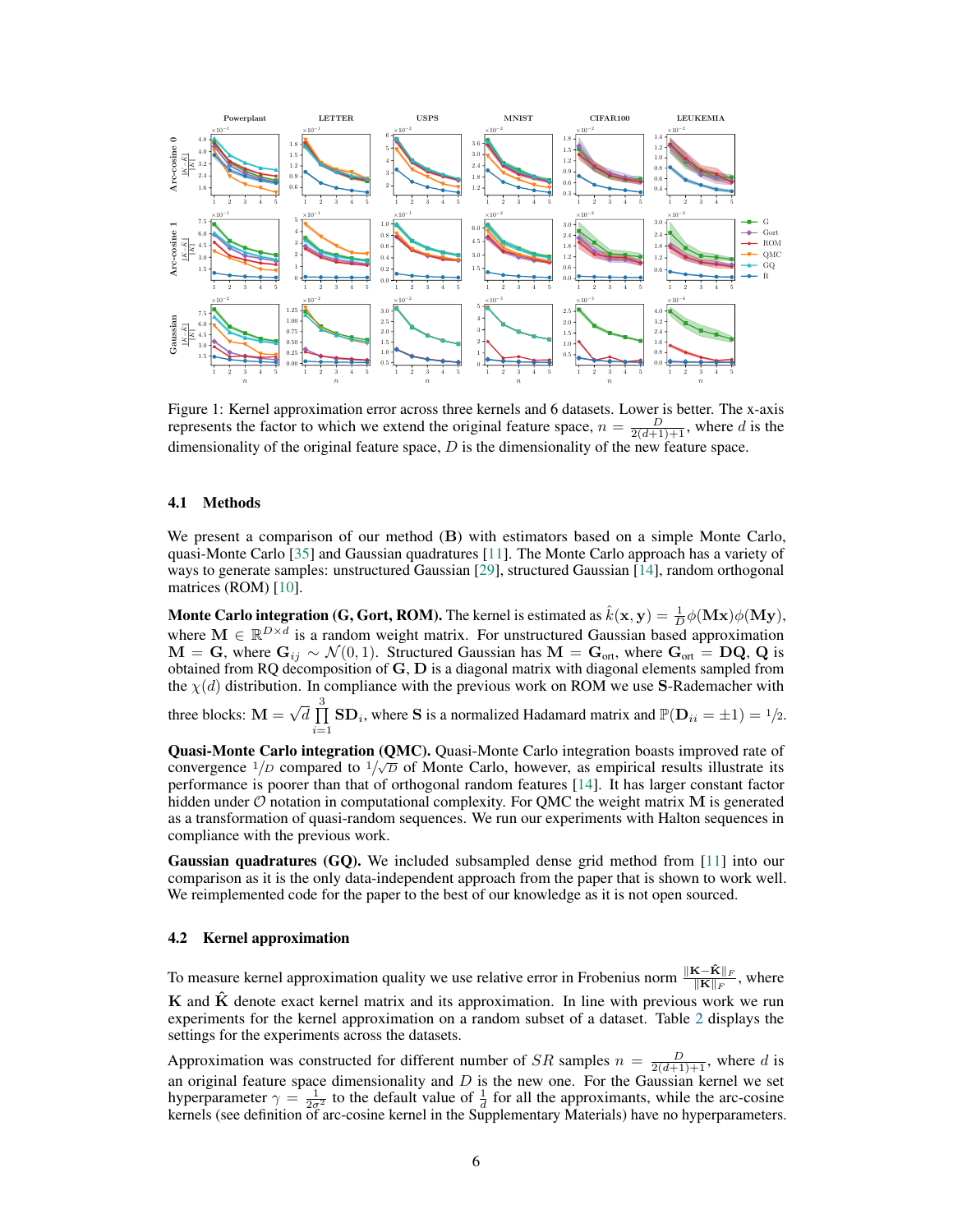

Figure 1: Kernel approximation error across three kernels and 6 datasets. Lower is better. The x-axis represents the factor to which we extend the original feature space,  $n = \frac{D}{2(d+1)+1}$ , where d is the dimensionality of the original feature space,  $D$  is the dimensionality of the new feature space.

#### 4.1 Methods

We present a comparison of our method (B) with estimators based on a simple Monte Carlo, quasi-Monte Carlo [35] and Gaussian quadratures [11]. The Monte Carlo approach has a variety of ways to generate samples: unstructured Gaussian [29], structured Gaussian [14], random orthogonal matrices (ROM) [10].

**Monte Carlo integration (G, Gort, ROM).** The kernel is estimated as  $\hat{k}(\mathbf{x}, \mathbf{y}) = \frac{1}{D} \phi(\mathbf{Mx}) \phi(\mathbf{My})$ , where  $\mathbf{M} \in \mathbb{R}^{D \times d}$  is a random weight matrix. For unstructured Gaussian based approximation  $M = G$ , where  $G_{ij} \sim \mathcal{N}(0, 1)$ . Structured Gaussian has  $M = G_{\text{ort}}$ , where  $G_{\text{ort}} = DQ$ , Q is obtained from RQ decomposition of  $G, D$  is a diagonal matrix with diagonal elements sampled from the  $\chi(d)$  distribution. In compliance with the previous work on ROM we use S-Rademacher with three blocks:  $\mathbf{M} = \sqrt{d} \prod_{i=1}^{3}$  $\prod_{i=1}^{n}$  SD<sub>i</sub>, where S is a normalized Hadamard matrix and  $\mathbb{P}(\mathbf{D}_{ii} = \pm 1) = \frac{1}{2}$ .

Quasi-Monte Carlo integration (QMC). Quasi-Monte Carlo integration boasts improved rate of convergence  $1/D$  compared to  $1/\sqrt{D}$  of Monte Carlo, however, as empirical results illustrate its performance is poorer than that of orthogonal random features [14]. It has larger constant factor hidden under  $\mathcal O$  notation in computational complexity. For QMC the weight matrix M is generated as a transformation of quasi-random sequences. We run our experiments with Halton sequences in compliance with the previous work.

Gaussian quadratures (GQ). We included subsampled dense grid method from [11] into our comparison as it is the only data-independent approach from the paper that is shown to work well. We reimplemented code for the paper to the best of our knowledge as it is not open sourced.

#### 4.2 Kernel approximation

To measure kernel approximation quality we use relative error in Frobenius norm  $\frac{\|\mathbf{K} - \hat{\mathbf{K}}\|_F}{\|\mathbf{K}\|_F}$ , where  **and**  $**K**$  **denote exact kernel matrix and its approximation. In line with previous work we run** experiments for the kernel approximation on a random subset of a dataset. Table 2 displays the settings for the experiments across the datasets.

Approximation was constructed for different number of SR samples  $n = \frac{D}{2(d+1)+1}$ , where d is an original feature space dimensionality and  $D$  is the new one. For the Gaussian kernel we set hyperparameter  $\gamma = \frac{1}{2\sigma^2}$  to the default value of  $\frac{1}{d}$  for all the approximants, while the arc-cosine kernels (see definition of arc-cosine kernel in the Supplementary Materials) have no hyperparameters.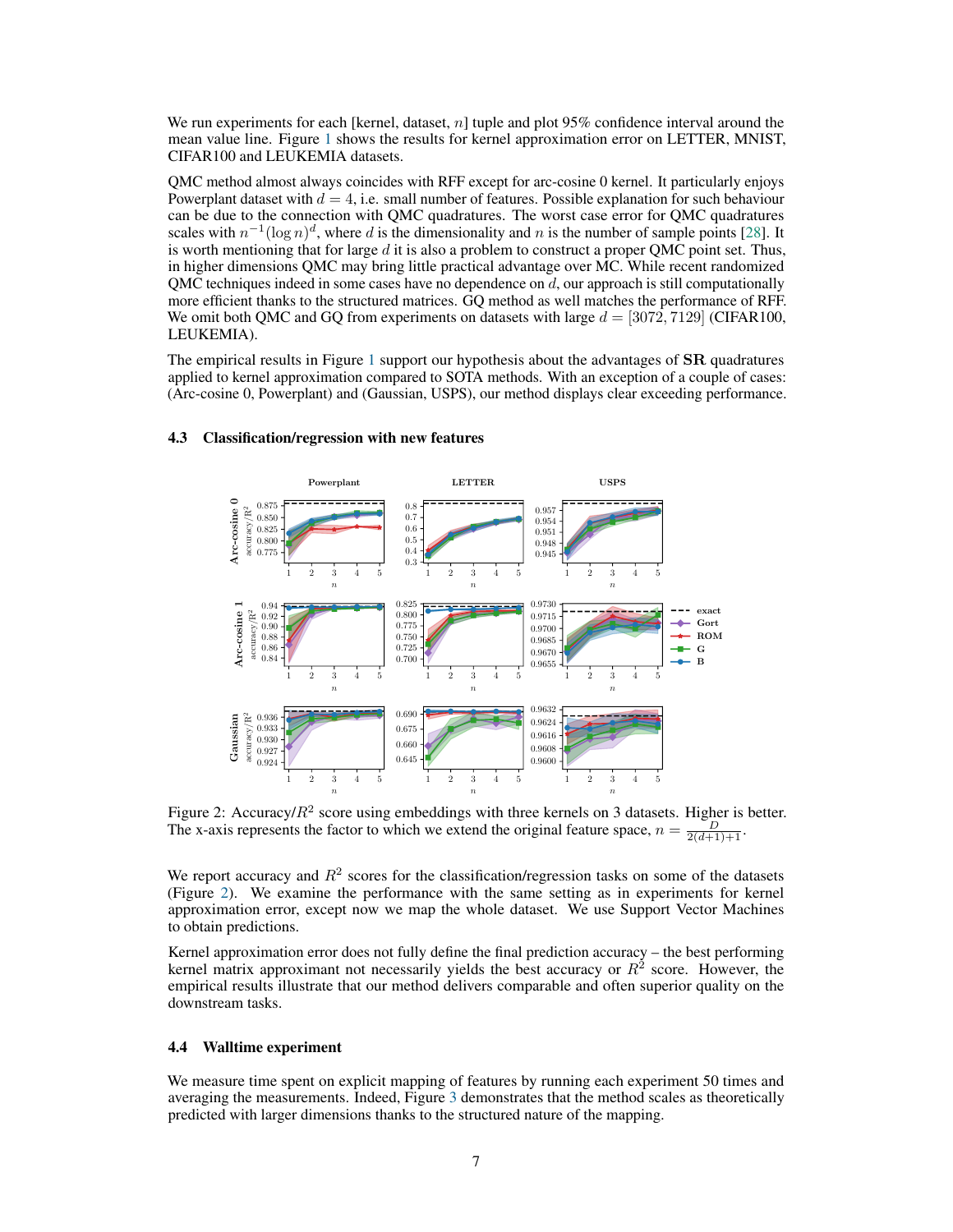We run experiments for each [kernel, dataset, n] tuple and plot 95% confidence interval around the mean value line. Figure 1 shows the results for kernel approximation error on LETTER, MNIST, CIFAR100 and LEUKEMIA datasets.

QMC method almost always coincides with RFF except for arc-cosine 0 kernel. It particularly enjoys Powerplant dataset with  $d = 4$ , i.e. small number of features. Possible explanation for such behaviour can be due to the connection with QMC quadratures. The worst case error for QMC quadratures scales with  $n^{-1}(\log n)^d$ , where d is the dimensionality and n is the number of sample points [28]. It is worth mentioning that for large  $d$  it is also a problem to construct a proper QMC point set. Thus, in higher dimensions QMC may bring little practical advantage over MC. While recent randomized QMC techniques indeed in some cases have no dependence on  $d$ , our approach is still computationally more efficient thanks to the structured matrices. GQ method as well matches the performance of RFF. We omit both QMC and GQ from experiments on datasets with large  $d = [3072, 7129]$  (CIFAR100, LEUKEMIA).

The empirical results in Figure 1 support our hypothesis about the advantages of **SR** quadratures applied to kernel approximation compared to SOTA methods. With an exception of a couple of cases: (Arc-cosine 0, Powerplant) and (Gaussian, USPS), our method displays clear exceeding performance.



## 4.3 Classification/regression with new features

Figure 2: Accuracy/ $R^2$  score using embeddings with three kernels on 3 datasets. Higher is better. The x-axis represents the factor to which we extend the original feature space,  $n = \frac{D}{2(d+1)+1}$ .

We report accuracy and  $R<sup>2</sup>$  scores for the classification/regression tasks on some of the datasets (Figure 2). We examine the performance with the same setting as in experiments for kernel approximation error, except now we map the whole dataset. We use Support Vector Machines to obtain predictions.

Kernel approximation error does not fully define the final prediction accuracy – the best performing kernel matrix approximant not necessarily yields the best accuracy or  $R^2$  score. However, the empirical results illustrate that our method delivers comparable and often superior quality on the downstream tasks.

#### 4.4 Walltime experiment

We measure time spent on explicit mapping of features by running each experiment 50 times and averaging the measurements. Indeed, Figure 3 demonstrates that the method scales as theoretically predicted with larger dimensions thanks to the structured nature of the mapping.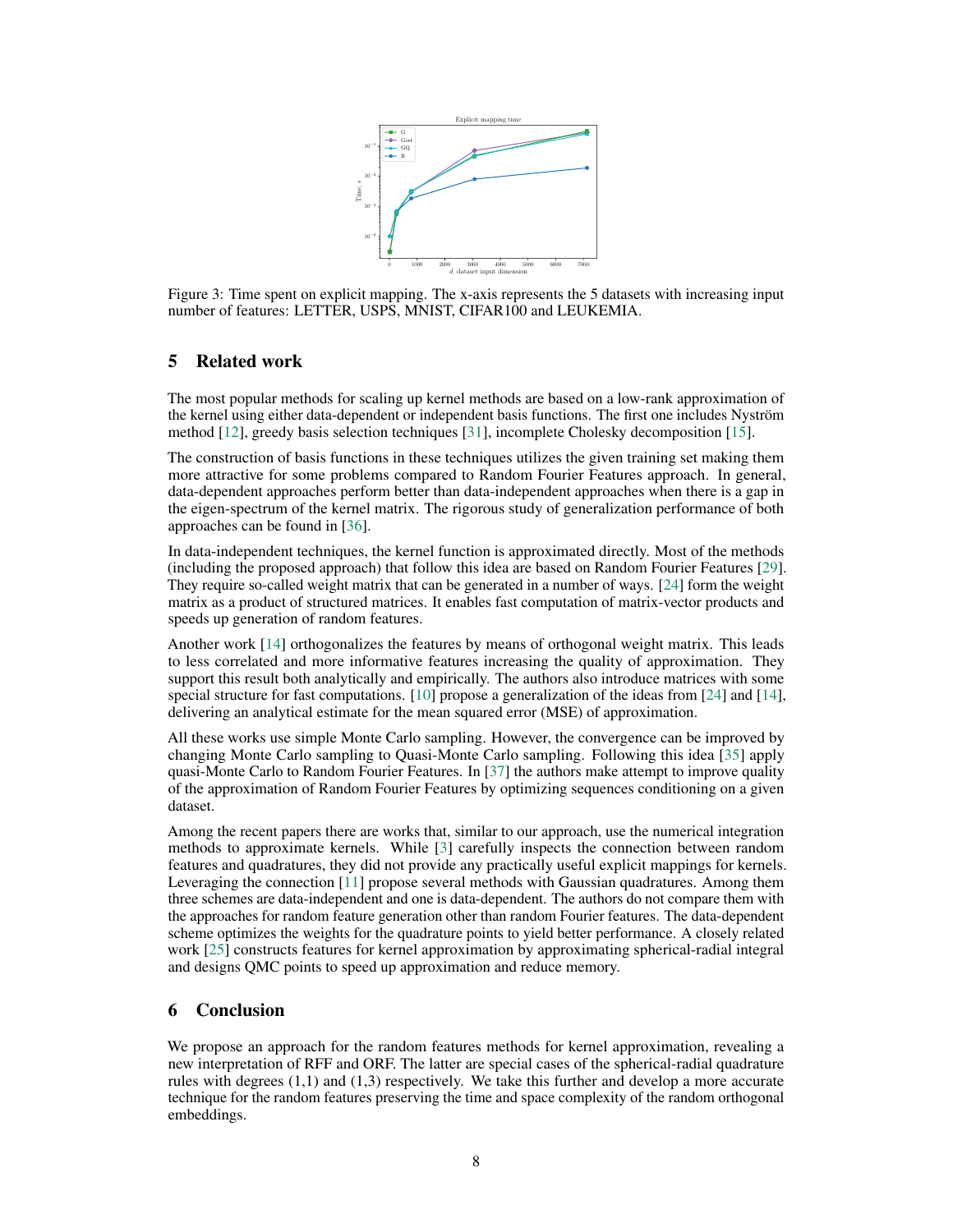

Figure 3: Time spent on explicit mapping. The x-axis represents the 5 datasets with increasing input number of features: LETTER, USPS, MNIST, CIFAR100 and LEUKEMIA.

# 5 Related work

The most popular methods for scaling up kernel methods are based on a low-rank approximation of the kernel using either data-dependent or independent basis functions. The first one includes Nyström method [12], greedy basis selection techniques [31], incomplete Cholesky decomposition [15].

The construction of basis functions in these techniques utilizes the given training set making them more attractive for some problems compared to Random Fourier Features approach. In general, data-dependent approaches perform better than data-independent approaches when there is a gap in the eigen-spectrum of the kernel matrix. The rigorous study of generalization performance of both approaches can be found in [36].

In data-independent techniques, the kernel function is approximated directly. Most of the methods (including the proposed approach) that follow this idea are based on Random Fourier Features [29]. They require so-called weight matrix that can be generated in a number of ways. [24] form the weight matrix as a product of structured matrices. It enables fast computation of matrix-vector products and speeds up generation of random features.

Another work [14] orthogonalizes the features by means of orthogonal weight matrix. This leads to less correlated and more informative features increasing the quality of approximation. They support this result both analytically and empirically. The authors also introduce matrices with some special structure for fast computations. [10] propose a generalization of the ideas from [24] and [14], delivering an analytical estimate for the mean squared error (MSE) of approximation.

All these works use simple Monte Carlo sampling. However, the convergence can be improved by changing Monte Carlo sampling to Quasi-Monte Carlo sampling. Following this idea [35] apply quasi-Monte Carlo to Random Fourier Features. In [37] the authors make attempt to improve quality of the approximation of Random Fourier Features by optimizing sequences conditioning on a given dataset.

Among the recent papers there are works that, similar to our approach, use the numerical integration methods to approximate kernels. While [3] carefully inspects the connection between random features and quadratures, they did not provide any practically useful explicit mappings for kernels. Leveraging the connection [11] propose several methods with Gaussian quadratures. Among them three schemes are data-independent and one is data-dependent. The authors do not compare them with the approaches for random feature generation other than random Fourier features. The data-dependent scheme optimizes the weights for the quadrature points to yield better performance. A closely related work [25] constructs features for kernel approximation by approximating spherical-radial integral and designs QMC points to speed up approximation and reduce memory.

# 6 Conclusion

We propose an approach for the random features methods for kernel approximation, revealing a new interpretation of RFF and ORF. The latter are special cases of the spherical-radial quadrature rules with degrees (1,1) and (1,3) respectively. We take this further and develop a more accurate technique for the random features preserving the time and space complexity of the random orthogonal embeddings.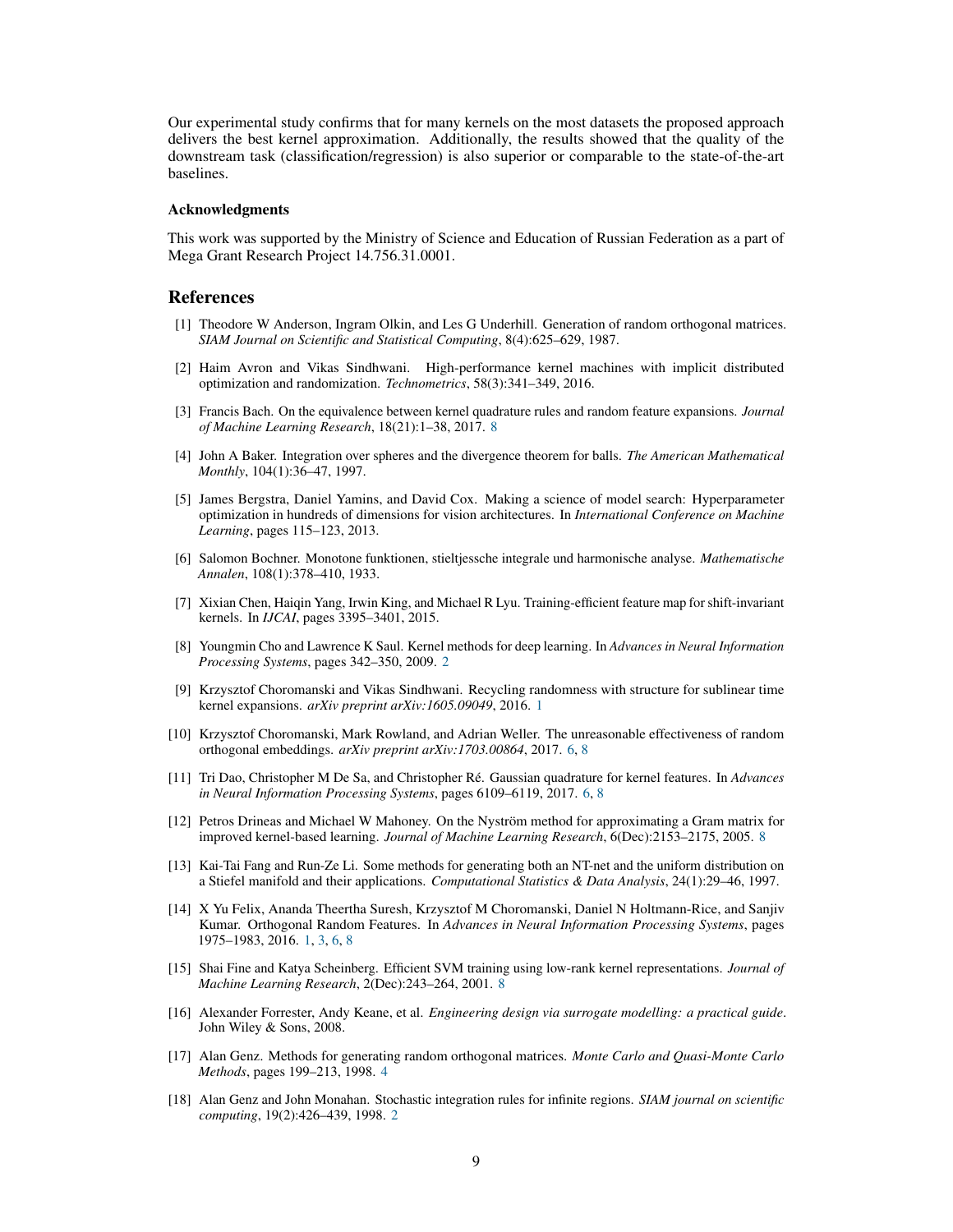Our experimental study confirms that for many kernels on the most datasets the proposed approach delivers the best kernel approximation. Additionally, the results showed that the quality of the downstream task (classification/regression) is also superior or comparable to the state-of-the-art baselines.

#### Acknowledgments

This work was supported by the Ministry of Science and Education of Russian Federation as a part of Mega Grant Research Project 14.756.31.0001.

## References

- [1] Theodore W Anderson, Ingram Olkin, and Les G Underhill. Generation of random orthogonal matrices. *SIAM Journal on Scientific and Statistical Computing*, 8(4):625–629, 1987.
- [2] Haim Avron and Vikas Sindhwani. High-performance kernel machines with implicit distributed optimization and randomization. *Technometrics*, 58(3):341–349, 2016.
- [3] Francis Bach. On the equivalence between kernel quadrature rules and random feature expansions. *Journal of Machine Learning Research*, 18(21):1–38, 2017. 8
- [4] John A Baker. Integration over spheres and the divergence theorem for balls. *The American Mathematical Monthly*, 104(1):36–47, 1997.
- [5] James Bergstra, Daniel Yamins, and David Cox. Making a science of model search: Hyperparameter optimization in hundreds of dimensions for vision architectures. In *International Conference on Machine Learning*, pages 115–123, 2013.
- [6] Salomon Bochner. Monotone funktionen, stieltjessche integrale und harmonische analyse. *Mathematische Annalen*, 108(1):378–410, 1933.
- [7] Xixian Chen, Haiqin Yang, Irwin King, and Michael R Lyu. Training-efficient feature map for shift-invariant kernels. In *IJCAI*, pages 3395–3401, 2015.
- [8] Youngmin Cho and Lawrence K Saul. Kernel methods for deep learning. In *Advances in Neural Information Processing Systems*, pages 342–350, 2009. 2
- [9] Krzysztof Choromanski and Vikas Sindhwani. Recycling randomness with structure for sublinear time kernel expansions. *arXiv preprint arXiv:1605.09049*, 2016. 1
- [10] Krzysztof Choromanski, Mark Rowland, and Adrian Weller. The unreasonable effectiveness of random orthogonal embeddings. *arXiv preprint arXiv:1703.00864*, 2017. 6, 8
- [11] Tri Dao, Christopher M De Sa, and Christopher Ré. Gaussian quadrature for kernel features. In *Advances in Neural Information Processing Systems*, pages 6109–6119, 2017. 6, 8
- [12] Petros Drineas and Michael W Mahoney. On the Nyström method for approximating a Gram matrix for improved kernel-based learning. *Journal of Machine Learning Research*, 6(Dec):2153–2175, 2005. 8
- [13] Kai-Tai Fang and Run-Ze Li. Some methods for generating both an NT-net and the uniform distribution on a Stiefel manifold and their applications. *Computational Statistics & Data Analysis*, 24(1):29–46, 1997.
- [14] X Yu Felix, Ananda Theertha Suresh, Krzysztof M Choromanski, Daniel N Holtmann-Rice, and Sanjiv Kumar. Orthogonal Random Features. In *Advances in Neural Information Processing Systems*, pages 1975–1983, 2016. 1, 3, 6, 8
- [15] Shai Fine and Katya Scheinberg. Efficient SVM training using low-rank kernel representations. *Journal of Machine Learning Research*, 2(Dec):243–264, 2001. 8
- [16] Alexander Forrester, Andy Keane, et al. *Engineering design via surrogate modelling: a practical guide*. John Wiley & Sons, 2008.
- [17] Alan Genz. Methods for generating random orthogonal matrices. *Monte Carlo and Quasi-Monte Carlo Methods*, pages 199–213, 1998. 4
- [18] Alan Genz and John Monahan. Stochastic integration rules for infinite regions. *SIAM journal on scientific computing*, 19(2):426–439, 1998. 2